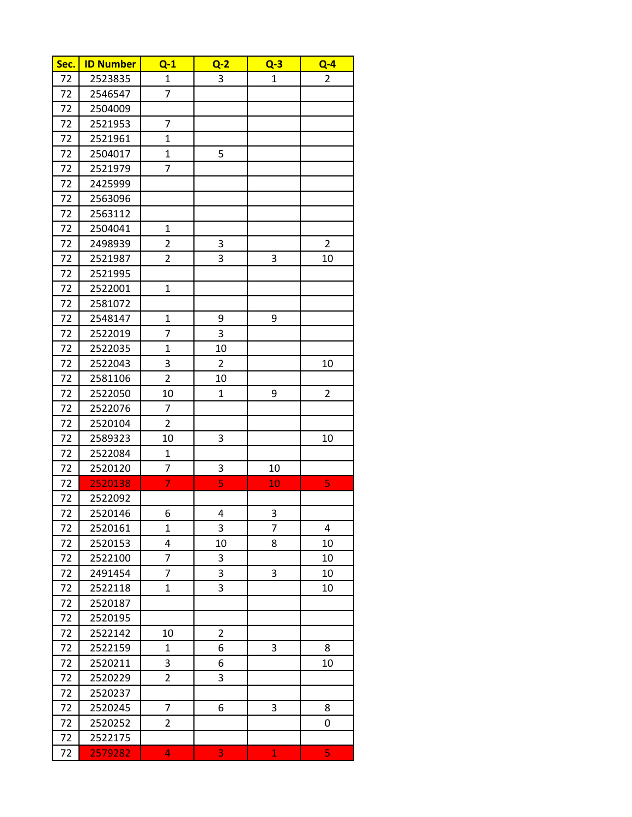| Sec. | <b>ID Number</b> | $Q-1$          | $Q-2$          | $Q-3$        | $Q - 4$        |
|------|------------------|----------------|----------------|--------------|----------------|
| 72   | 2523835          | $\mathbf{1}$   | 3              | $\mathbf{1}$ | $\overline{2}$ |
| 72   | 2546547          | 7              |                |              |                |
| 72   | 2504009          |                |                |              |                |
| 72   | 2521953          | 7              |                |              |                |
| 72   | 2521961          | 1              |                |              |                |
| 72   | 2504017          | $\mathbf{1}$   | 5              |              |                |
| 72   | 2521979          | 7              |                |              |                |
| 72   | 2425999          |                |                |              |                |
| 72   | 2563096          |                |                |              |                |
| 72   | 2563112          |                |                |              |                |
| 72   | 2504041          | 1              |                |              |                |
| 72   | 2498939          | $\overline{2}$ | 3              |              | $\overline{2}$ |
| 72   | 2521987          | $\overline{2}$ | 3              | 3            | 10             |
| 72   | 2521995          |                |                |              |                |
| 72   | 2522001          | $\mathbf{1}$   |                |              |                |
| 72   | 2581072          |                |                |              |                |
| 72   | 2548147          | $\mathbf{1}$   | 9              | 9            |                |
| 72   | 2522019          | 7              | 3              |              |                |
| 72   | 2522035          | $\mathbf 1$    | 10             |              |                |
| 72   | 2522043          | 3              | $\overline{2}$ |              | 10             |
| 72   | 2581106          | $\overline{c}$ | 10             |              |                |
| 72   | 2522050          | 10             | $\mathbf{1}$   | 9            | $\overline{2}$ |
| 72   | 2522076          | 7              |                |              |                |
| 72   | 2520104          | 2              |                |              |                |
| 72   | 2589323          | 10             | 3              |              | 10             |
| 72   | 2522084          | 1              |                |              |                |
| 72   | 2520120          | 7              | 3              | 10           |                |
| 72   | 2520138          | $\overline{7}$ | $\overline{5}$ | 10           | 5              |
| 72   | 2522092          |                |                |              |                |
| 72   | 2520146          | 6              | 4              | 3            |                |
| 72   | 2520161          | $\mathbf{1}$   | 3              | 7            | 4              |
| 72   | 2520153          | 4              | 10             | 8            | 10             |
| 72   | 2522100          | $\overline{7}$ | 3              |              | 10             |
| 72   | 2491454          | 7              | 3              | 3            | 10             |
| 72   | 2522118          | 1              | 3              |              | 10             |
| 72   | 2520187          |                |                |              |                |
| 72   | 2520195          |                |                |              |                |
| 72   | 2522142          | 10             | $\overline{2}$ |              |                |
| 72   | 2522159          | $\mathbf{1}$   | 6              | 3            | 8              |
| 72   | 2520211          | 3              | 6              |              | 10             |
| 72   | 2520229          | $\overline{2}$ | 3              |              |                |
| 72   | 2520237          |                |                |              |                |
| 72   | 2520245          | 7              | 6              | 3            | 8              |
| 72   | 2520252          | $\overline{2}$ |                |              | 0              |
| 72   | 2522175          |                |                |              |                |
| 72   | 2579282          | 4              | 3              | $\mathbf{1}$ | 5              |